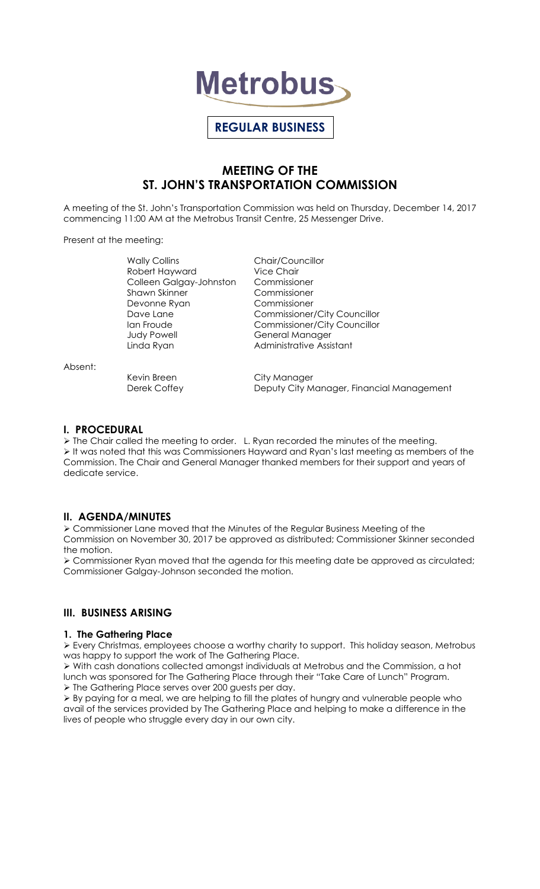

# **REGULAR BUSINESS**

# **MEETING OF THE ST. JOHN'S TRANSPORTATION COMMISSION**

A meeting of the St. John's Transportation Commission was held on Thursday, December 14, 2017 commencing 11:00 AM at the Metrobus Transit Centre, 25 Messenger Drive.

Present at the meeting:

Robert Hayward Vice Chair Colleen Galgay-Johnston Commissioner Shawn Skinner Commissioner Devonne Ryan Commissioner Judy Powell General Manager

Wally Collins **Chair/Councillor** Dave Lane **Commissioner/City Councillor** Ian Froude **Commissioner/City Councillor** Linda Ryan **Administrative Assistant** 

Kevin Breen City Manager Derek Coffey **Deputy City Manager, Financial Management** 

**I. PROCEDURAL**  The Chair called the meeting to order. L. Ryan recorded the minutes of the meeting. It was noted that this was Commissioners Hayward and Ryan's last meeting as members of the Commission. The Chair and General Manager thanked members for their support and years of dedicate service.

# **II. AGENDA/MINUTES**

 Commissioner Lane moved that the Minutes of the Regular Business Meeting of the Commission on November 30, 2017 be approved as distributed; Commissioner Skinner seconded the motion.

 Commissioner Ryan moved that the agenda for this meeting date be approved as circulated; Commissioner Galgay-Johnson seconded the motion.

# **III. BUSINESS ARISING**

#### **1. The Gathering Place**

 Every Christmas, employees choose a worthy charity to support. This holiday season, Metrobus was happy to support the work of The Gathering Place.

 $\triangleright$  With cash donations collected amongst individuals at Metrobus and the Commission, a hot lunch was sponsored for The Gathering Place through their "Take Care of Lunch" Program. > The Gathering Place serves over 200 guests per day.

 By paying for a meal, we are helping to fill the plates of hungry and vulnerable people who avail of the services provided by The Gathering Place and helping to make a difference in the lives of people who struggle every day in our own city.

Absent: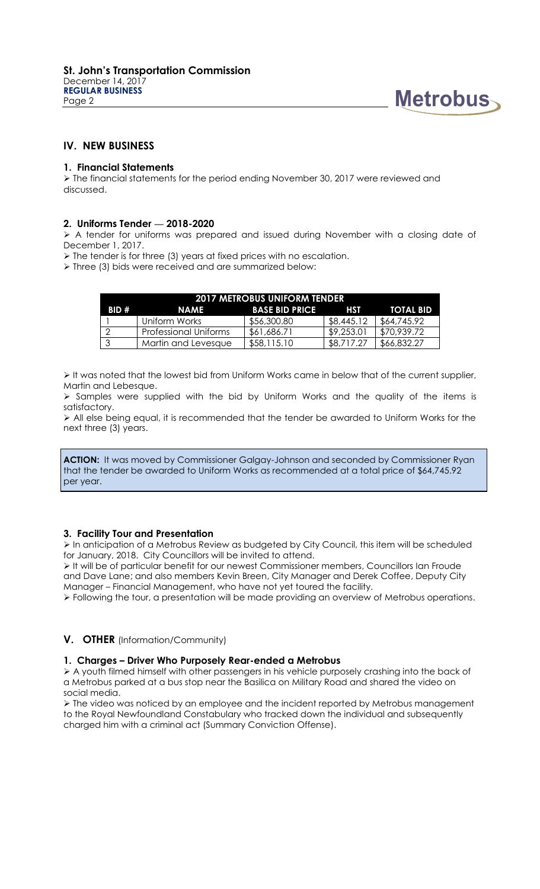

# **IV. NEW BUSINESS**

#### **1. Financial Statements**

 $\triangleright$  The financial statements for the period ending November 30, 2017 were reviewed and discussed.

### **2. Uniforms Tender — 2018-2020**

 A tender for uniforms was prepared and issued during November with a closing date of December 1, 2017.

 $\triangleright$  The tender is for three (3) years at fixed prices with no escalation.

> Three (3) bids were received and are summarized below:

| <b>2017 METROBUS UNIFORM TENDER</b> |                       |                       |            |             |
|-------------------------------------|-----------------------|-----------------------|------------|-------------|
| BID#                                | <b>NAME</b>           | <b>BASE BID PRICE</b> | <b>HST</b> | TOTAL BID   |
|                                     | Uniform Works         | \$56,300.80           | \$8,445.12 | \$64,745.92 |
| - റ                                 | Professional Uniforms | \$61,686.71           | \$9,253.01 | \$70,939.72 |
| - 3                                 | Martin and Levesque   | \$58,115.10           | \$8,717.27 | \$66,832.27 |

 $\triangleright$  It was noted that the lowest bid from Uniform Works came in below that of the current supplier, Martin and Lebesque.

 $\triangleright$  Samples were supplied with the bid by Uniform Works and the quality of the items is satisfactory.

 All else being equal, it is recommended that the tender be awarded to Uniform Works for the next three (3) years.

**ACTION:** It was moved by Commissioner Galgay-Johnson and seconded by Commissioner Ryan that the tender be awarded to Uniform Works as recommended at a total price of \$64,745.92 per year.

# **3. Facility Tour and Presentation**

 In anticipation of a Metrobus Review as budgeted by City Council, this item will be scheduled for January, 2018. City Councillors will be invited to attend.

It will be of particular benefit for our newest Commissioner members, Councillors Ian Froude and Dave Lane; and also members Kevin Breen, City Manager and Derek Coffee, Deputy City Manager – Financial Management, who have not yet toured the facility.

Following the tour, a presentation will be made providing an overview of Metrobus operations.

# **V. OTHER** (Information/Community)

#### **1. Charges – Driver Who Purposely Rear-ended a Metrobus**

 $\triangleright$  A youth filmed himself with other passengers in his vehicle purposely crashing into the back of a Metrobus parked at a bus stop near the Basilica on Military Road and shared the video on social media.

 $\triangleright$  The video was noticed by an employee and the incident reported by Metrobus management to the Royal Newfoundland Constabulary who tracked down the individual and subsequently charged him with a criminal act (Summary Conviction Offense).